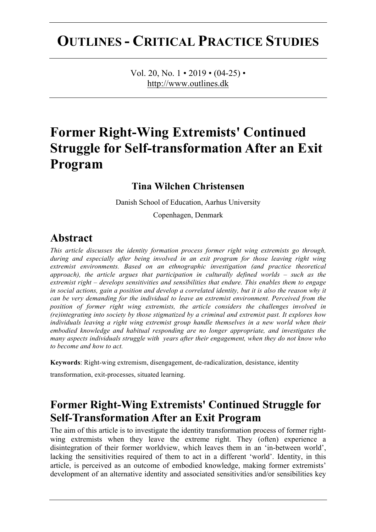# **OUTLINES - CRITICAL PRACTICE STUDIES**

Vol. 20, No.  $1 \cdot 2019 \cdot (04-25) \cdot$ http://www.outlines.dk

# **Former Right-Wing Extremists' Continued Struggle for Self-transformation After an Exit Program**

#### **Tina Wilchen Christensen**

Danish School of Education, Aarhus University

Copenhagen, Denmark

#### **Abstract**

*This article discusses the identity formation process former right wing extremists go through, during and especially after being involved in an exit program for those leaving right wing extremist environments. Based on an ethnographic investigation (and practice theoretical approach), the article argues that participation in culturally defined worlds – such as the extremist right – develops sensitivities and sensibilities that endure. This enables them to engage in social actions, gain a position and develop a correlated identity, but it is also the reason why it can be very demanding for the individual to leave an extremist environment. Perceived from the position of former right wing extremists, the article considers the challenges involved in (re)integrating into society by those stigmatized by a criminal and extremist past. It explores how individuals leaving a right wing extremist group handle themselves in a new world when their embodied knowledge and habitual responding are no longer appropriate, and investigates the many aspects individuals struggle with years after their engagement, when they do not know who to become and how to act.*

**Keywords**: Right-wing extremism, disengagement, de-radicalization, desistance, identity

transformation, exit-processes, situated learning.

# **Former Right-Wing Extremists' Continued Struggle for Self-Transformation After an Exit Program**

The aim of this article is to investigate the identity transformation process of former rightwing extremists when they leave the extreme right. They (often) experience a disintegration of their former worldview, which leaves them in an 'in-between world', lacking the sensitivities required of them to act in a different 'world'. Identity, in this article, is perceived as an outcome of embodied knowledge, making former extremists' development of an alternative identity and associated sensitivities and/or sensibilities key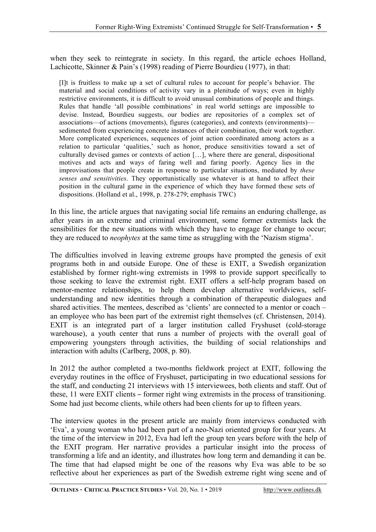when they seek to reintegrate in society. In this regard, the article echoes Holland, Lachicotte, Skinner & Pain's (1998) reading of Pierre Bourdieu (1977), in that:

[I]t is fruitless to make up a set of cultural rules to account for people's behavior. The material and social conditions of activity vary in a plenitude of ways; even in highly restrictive environments, it is difficult to avoid unusual combinations of people and things. Rules that handle 'all possible combinations' in real world settings are impossible to devise. Instead, Bourdieu suggests, our bodies are repositories of a complex set of associations—of actions (movements), figures (categories), and contexts (environments) sedimented from experiencing concrete instances of their combination, their work together. More complicated experiences, sequences of joint action coordinated among actors as a relation to particular 'qualities,' such as honor, produce sensitivities toward a set of culturally devised games or contexts of action […], where there are general, dispositional motives and acts and ways of faring well and faring poorly. Agency lies in the improvisations that people create in response to particular situations, mediated by *these senses and sensitivities*. They opportunistically use whatever is at hand to affect their position in the cultural game in the experience of which they have formed these sets of dispositions. (Holland et al., 1998, p. 278-279; emphasis TWC)

In this line, the article argues that navigating social life remains an enduring challenge, as after years in an extreme and criminal environment, some former extremists lack the sensibilities for the new situations with which they have to engage for change to occur; they are reduced to *neophytes* at the same time as struggling with the 'Nazism stigma'.

The difficulties involved in leaving extreme groups have prompted the genesis of exit programs both in and outside Europe. One of these is EXIT, a Swedish organization established by former right-wing extremists in 1998 to provide support specifically to those seeking to leave the extremist right. EXIT offers a self-help program based on mentor-mentee relationships, to help them develop alternative worldviews, selfunderstanding and new identities through a combination of therapeutic dialogues and shared activities. The mentees, described as 'clients' are connected to a mentor or coach – an employee who has been part of the extremist right themselves (cf. Christensen, 2014). EXIT is an integrated part of a larger institution called Fryshuset (cold-storage warehouse), a youth center that runs a number of projects with the overall goal of empowering youngsters through activities, the building of social relationships and interaction with adults (Carlberg, 2008, p. 80).

In 2012 the author completed a two-months fieldwork project at EXIT, following the everyday routines in the office of Fryshuset, participating in two educational sessions for the staff, and conducting 21 interviews with 15 interviewees, both clients and staff. Out of these, 11 were EXIT clients – former right wing extremists in the process of transitioning. Some had just become clients, while others had been clients for up to fifteen years.

The interview quotes in the present article are mainly from interviews conducted with 'Eva', a young woman who had been part of a neo-Nazi oriented group for four years. At the time of the interview in 2012, Eva had left the group ten years before with the help of the EXIT program. Her narrative provides a particular insight into the process of transforming a life and an identity, and illustrates how long term and demanding it can be. The time that had elapsed might be one of the reasons why Eva was able to be so reflective about her experiences as part of the Swedish extreme right wing scene and of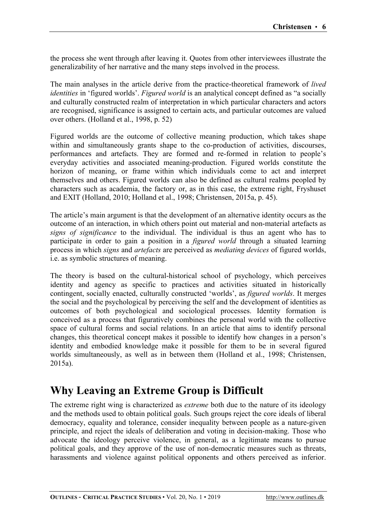the process she went through after leaving it. Quotes from other interviewees illustrate the generalizability of her narrative and the many steps involved in the process.

The main analyses in the article derive from the practice-theoretical framework of *lived identities* in 'figured worlds'. *Figured world* is an analytical concept defined as "a socially and culturally constructed realm of interpretation in which particular characters and actors are recognised, significance is assigned to certain acts, and particular outcomes are valued over others. (Holland et al., 1998, p. 52)

Figured worlds are the outcome of collective meaning production, which takes shape within and simultaneously grants shape to the co-production of activities, discourses, performances and artefacts. They are formed and re-formed in relation to people's everyday activities and associated meaning-production. Figured worlds constitute the horizon of meaning, or frame within which individuals come to act and interpret themselves and others. Figured worlds can also be defined as cultural realms peopled by characters such as academia, the factory or, as in this case, the extreme right, Fryshuset and EXIT (Holland, 2010; Holland et al., 1998; Christensen, 2015a, p. 45).

The article's main argument is that the development of an alternative identity occurs as the outcome of an interaction, in which others point out material and non-material artefacts as *signs of significance* to the individual. The individual is thus an agent who has to participate in order to gain a position in a *figured world* through a situated learning process in which *signs* and *artefacts* are perceived as *mediating devices* of figured worlds, i.e. as symbolic structures of meaning.

The theory is based on the cultural-historical school of psychology, which perceives identity and agency as specific to practices and activities situated in historically contingent, socially enacted, culturally constructed 'worlds', as *figured worlds*. It merges the social and the psychological by perceiving the self and the development of identities as outcomes of both psychological and sociological processes. Identity formation is conceived as a process that figuratively combines the personal world with the collective space of cultural forms and social relations. In an article that aims to identify personal changes, this theoretical concept makes it possible to identify how changes in a person's identity and embodied knowledge make it possible for them to be in several figured worlds simultaneously, as well as in between them (Holland et al., 1998; Christensen, 2015a).

## **Why Leaving an Extreme Group is Difficult**

The extreme right wing is characterized as *extreme* both due to the nature of its ideology and the methods used to obtain political goals. Such groups reject the core ideals of liberal democracy, equality and tolerance, consider inequality between people as a nature-given principle, and reject the ideals of deliberation and voting in decision-making. Those who advocate the ideology perceive violence, in general, as a legitimate means to pursue political goals, and they approve of the use of non-democratic measures such as threats, harassments and violence against political opponents and others perceived as inferior.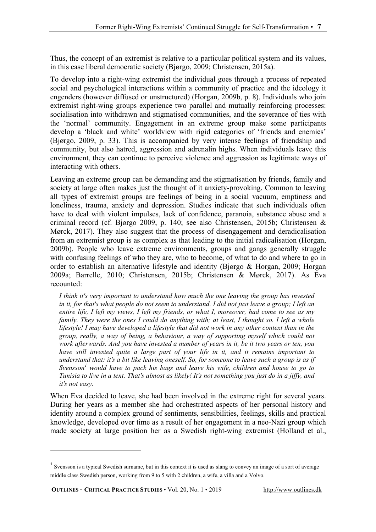Thus, the concept of an extremist is relative to a particular political system and its values, in this case liberal democratic society (Bjørgo, 2009; Christensen, 2015a).

To develop into a right-wing extremist the individual goes through a process of repeated social and psychological interactions within a community of practice and the ideology it engenders (however diffused or unstructured) (Horgan, 2009b, p. 8). Individuals who join extremist right-wing groups experience two parallel and mutually reinforcing processes: socialisation into withdrawn and stigmatised communities, and the severance of ties with the 'normal' community. Engagement in an extreme group make some participants develop a 'black and white' worldview with rigid categories of 'friends and enemies' (Bjørgo, 2009, p. 33). This is accompanied by very intense feelings of friendship and community, but also hatred, aggression and adrenalin highs. When individuals leave this environment, they can continue to perceive violence and aggression as legitimate ways of interacting with others.

Leaving an extreme group can be demanding and the stigmatisation by friends, family and society at large often makes just the thought of it anxiety-provoking. Common to leaving all types of extremist groups are feelings of being in a social vacuum, emptiness and loneliness, trauma, anxiety and depression. Studies indicate that such individuals often have to deal with violent impulses, lack of confidence, paranoia, substance abuse and a criminal record (cf. Bjørgo 2009, p. 140; see also Christensen, 2015b; Christensen & Mørck, 2017). They also suggest that the process of disengagement and deradicalisation from an extremist group is as complex as that leading to the initial radicalisation (Horgan, 2009b). People who leave extreme environments, groups and gangs generally struggle with confusing feelings of who they are, who to become, of what to do and where to go in order to establish an alternative lifestyle and identity (Bjørgo & Horgan, 2009; Horgan 2009a; Barrelle, 2010; Christensen, 2015b; Christensen & Mørck, 2017). As Eva recounted:

*I think it's very important to understand how much the one leaving the group has invested in it, for that's what people do not seem to understand. I did not just leave a group; I left an entire life, I left my views, I left my friends, or what I, moreover, had come to see as my family. They were the ones I could do anything with; at least, I thought so. I left a whole lifestyle! I may have developed a lifestyle that did not work in any other context than in the group, really, a way of being, a behaviour, a way of supporting myself which could not work afterwards. And you have invested a number of years in it, be it two years or ten, you have still invested quite a large part of your life in it, and it remains important to understand that: it's a bit like leaving oneself. So, for someone to leave such a group is as if Svensson<sup>1</sup> would have to pack his bags and leave his wife, children and house to go to Tunisia to live in a tent. That's almost as likely! It's not something you just do in a jiffy, and it's not easy.*

When Eva decided to leave, she had been involved in the extreme right for several years. During her years as a member she had orchestrated aspects of her personal history and identity around a complex ground of sentiments, sensibilities, feelings, skills and practical knowledge, developed over time as a result of her engagement in a neo-Nazi group which made society at large position her as a Swedish right-wing extremist (Holland et al.,

**OUTLINES - CRITICAL PRACTICE STUDIES** • Vol. 20, No. 1 • 2019 http://www.outlines.dk

<sup>&</sup>lt;sup>1</sup> Svensson is a typical Swedish surname, but in this context it is used as slang to convey an image of a sort of average middle class Swedish person, working from 9 to 5 with 2 children, a wife, a villa and a Volvo.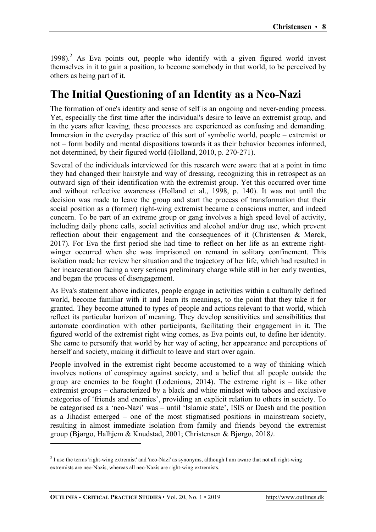1998).<sup>2</sup> As Eva points out, people who identify with a given figured world invest themselves in it to gain a position, to become somebody in that world, to be perceived by others as being part of it.

# **The Initial Questioning of an Identity as a Neo-Nazi**

The formation of one's identity and sense of self is an ongoing and never-ending process. Yet, especially the first time after the individual's desire to leave an extremist group, and in the years after leaving, these processes are experienced as confusing and demanding. Immersion in the everyday practice of this sort of symbolic world, people – extremist or not – form bodily and mental dispositions towards it as their behavior becomes informed, not determined, by their figured world (Holland, 2010, p. 270-271).

Several of the individuals interviewed for this research were aware that at a point in time they had changed their hairstyle and way of dressing, recognizing this in retrospect as an outward sign of their identification with the extremist group. Yet this occurred over time and without reflective awareness (Holland et al., 1998, p. 140). It was not until the decision was made to leave the group and start the process of transformation that their social position as a (former) right-wing extremist became a conscious matter, and indeed concern. To be part of an extreme group or gang involves a high speed level of activity, including daily phone calls, social activities and alcohol and/or drug use, which prevent reflection about their engagement and the consequences of it (Christensen & Mørck, 2017). For Eva the first period she had time to reflect on her life as an extreme rightwinger occurred when she was imprisoned on remand in solitary confinement. This isolation made her review her situation and the trajectory of her life, which had resulted in her incarceration facing a very serious preliminary charge while still in her early twenties, and began the process of disengagement.

As Eva's statement above indicates, people engage in activities within a culturally defined world, become familiar with it and learn its meanings, to the point that they take it for granted. They become attuned to types of people and actions relevant to that world, which reflect its particular horizon of meaning. They develop sensitivities and sensibilities that automate coordination with other participants, facilitating their engagement in it. The figured world of the extremist right wing comes, as Eva points out, to define her identity. She came to personify that world by her way of acting, her appearance and perceptions of herself and society, making it difficult to leave and start over again.

People involved in the extremist right become accustomed to a way of thinking which involves notions of conspiracy against society, and a belief that all people outside the group are enemies to be fought (Lodenious, 2014). The extreme right is – like other extremist groups – characterized by a black and white mindset with taboos and exclusive categories of 'friends and enemies', providing an explicit relation to others in society. To be categorised as a 'neo-Nazi' was – until 'Islamic state', ISIS or Daesh and the position as a Jihadist emerged – one of the most stigmatised positions in mainstream society, resulting in almost immediate isolation from family and friends beyond the extremist group (Bjørgo, Halhjem & Knudstad, 2001; Christensen & Bjørgo, 2018*)*.

 $2$  I use the terms 'right-wing extremist' and 'neo-Nazi' as synonyms, although I am aware that not all right-wing extremists are neo-Nazis, whereas all neo-Nazis are right-wing extremists.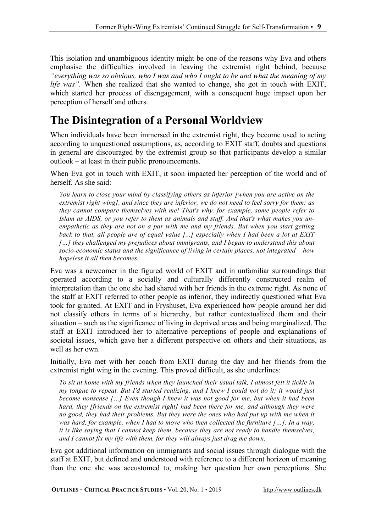This isolation and unambiguous identity might be one of the reasons why Eva and others emphasise the difficulties involved in leaving the extremist right behind, because *"everything was so obvious, who I was and who I ought to be and what the meaning of my life was".* When she realized that she wanted to change, she got in touch with EXIT, which started her process of disengagement, with a consequent huge impact upon her perception of herself and others.

# **The Disintegration of a Personal Worldview**

When individuals have been immersed in the extremist right, they become used to acting according to unquestioned assumptions, as, according to EXIT staff, doubts and questions in general are discouraged by the extremist group so that participants develop a similar outlook – at least in their public pronouncements.

When Eva got in touch with EXIT, it soon impacted her perception of the world and of herself. As she said:

*You learn to close your mind by classifying others as inferior [when you are active on the extremist right wing], and since they are inferior, we do not need to feel sorry for them: as they cannot compare themselves with me! That's why, for example, some people refer to Islam as AIDS, or you refer to them as animals and stuff. And that's what makes you unempathetic as they are not on a par with me and my friends. But when you start getting back to that, all people are of equal value [...] especially when I had been a lot at EXIT […] they challenged my prejudices about immigrants, and I began to understand this about socio-economic status and the significance of living in certain places, not integrated – how hopeless it all then becomes.*

Eva was a newcomer in the figured world of EXIT and in unfamiliar surroundings that operated according to a socially and culturally differently constructed realm of interpretation than the one she had shared with her friends in the extreme right. As none of the staff at EXIT referred to other people as inferior, they indirectly questioned what Eva took for granted. At EXIT and in Fryshuset, Eva experienced how people around her did not classify others in terms of a hierarchy, but rather contextualized them and their situation – such as the significance of living in deprived areas and being marginalized. The staff at EXIT introduced her to alternative perceptions of people and explanations of societal issues, which gave her a different perspective on others and their situations, as well as her own.

Initially, Eva met with her coach from EXIT during the day and her friends from the extremist right wing in the evening. This proved difficult, as she underlines:

*To sit at home with my friends when they launched their usual talk, I almost felt it tickle in my tongue to repeat. But I'd started realizing, and I knew I could not do it; it would just become nonsense […] Even though I knew it was not good for me, but when it had been hard, they [friends on the extremist right] had been there for me, and although they were no good, they had their problems. But they were the ones who had put up with me when it was hard, for example, when I had to move who then collected the furniture […]. In a way, it is like saying that I cannot keep them, because they are not ready to handle themselves, and I cannot fix my life with them, for they will always just drag me down.*

Eva got additional information on immigrants and social issues through dialogue with the staff at EXIT, but defined and understood with reference to a different horizon of meaning than the one she was accustomed to, making her question her own perceptions. She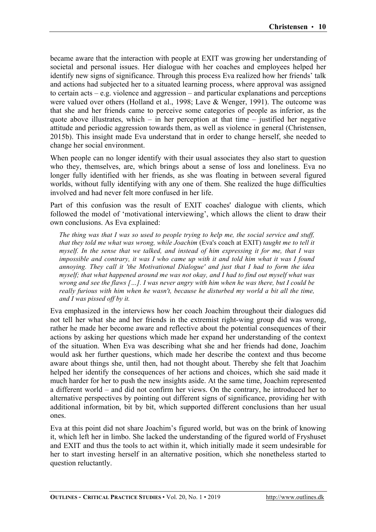became aware that the interaction with people at EXIT was growing her understanding of societal and personal issues. Her dialogue with her coaches and employees helped her identify new signs of significance. Through this process Eva realized how her friends' talk and actions had subjected her to a situated learning process, where approval was assigned to certain acts – e.g. violence and aggression – and particular explanations and perceptions were valued over others (Holland et al., 1998; Lave & Wenger, 1991). The outcome was that she and her friends came to perceive some categories of people as inferior, as the quote above illustrates, which – in her perception at that time – justified her negative attitude and periodic aggression towards them, as well as violence in general (Christensen, 2015b). This insight made Eva understand that in order to change herself, she needed to change her social environment.

When people can no longer identify with their usual associates they also start to question who they, themselves, are, which brings about a sense of loss and loneliness. Eva no longer fully identified with her friends, as she was floating in between several figured worlds, without fully identifying with any one of them. She realized the huge difficulties involved and had never felt more confused in her life.

Part of this confusion was the result of EXIT coaches' dialogue with clients, which followed the model of 'motivational interviewing', which allows the client to draw their own conclusions. As Eva explained:

*The thing was that I was so used to people trying to help me, the social service and stuff, that they told me what was wrong, while Joachim* (Eva's coach at EXIT) *taught me to tell it myself. In the sense that we talked, and instead of him expressing it for me, that I was impossible and contrary, it was I who came up with it and told him what it was I found annoying. They call it 'the Motivational Dialogue' and just that I had to form the idea myself; that what happened around me was not okay, and I had to find out myself what was wrong and see the flaws […]. I was never angry with him when he was there, but I could be really furious with him when he wasn't, because he disturbed my world a bit all the time, and I was pissed off by it.*

Eva emphasized in the interviews how her coach Joachim throughout their dialogues did not tell her what she and her friends in the extremist right-wing group did was wrong, rather he made her become aware and reflective about the potential consequences of their actions by asking her questions which made her expand her understanding of the context of the situation. When Eva was describing what she and her friends had done, Joachim would ask her further questions, which made her describe the context and thus become aware about things she, until then, had not thought about. Thereby she felt that Joachim helped her identify the consequences of her actions and choices, which she said made it much harder for her to push the new insights aside. At the same time, Joachim represented a different world – and did not confirm her views. On the contrary, he introduced her to alternative perspectives by pointing out different signs of significance, providing her with additional information, bit by bit, which supported different conclusions than her usual ones.

Eva at this point did not share Joachim's figured world, but was on the brink of knowing it, which left her in limbo. She lacked the understanding of the figured world of Fryshuset and EXIT and thus the tools to act within it, which initially made it seem undesirable for her to start investing herself in an alternative position, which she nonetheless started to question reluctantly.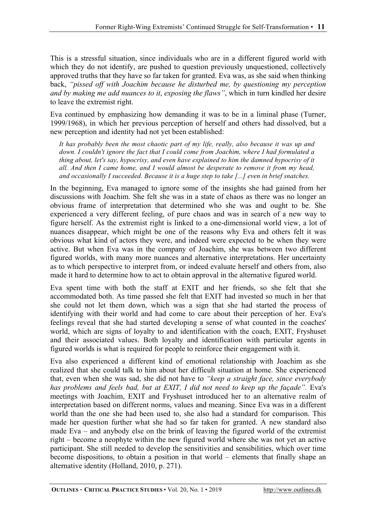This is a stressful situation, since individuals who are in a different figured world with which they do not identify, are pushed to question previously unquestioned, collectively approved truths that they have so far taken for granted. Eva was, as she said when thinking back, *"pissed off with Joachim because he disturbed me, by questioning my perception and by making me add nuances to it*, *exposing the flaws"*, which in turn kindled her desire to leave the extremist right.

Eva continued by emphasizing how demanding it was to be in a liminal phase (Turner, 1999/1968), in which her previous perception of herself and others had dissolved, but a new perception and identity had not yet been established:

*It has probably been the most chaotic part of my life, really, also because it was up and down. I couldn't ignore the fact that I could come from Joachim, where I had formulated a thing about, let's say, hypocrisy, and even have explained to him the damned hypocrisy of it all. And then I came home, and I would almost be desperate to remove it from my head, and occasionally I succeeded. Because it is a huge step to take [...] even in brief snatches.*

In the beginning, Eva managed to ignore some of the insights she had gained from her discussions with Joachim. She felt she was in a state of chaos as there was no longer an obvious frame of interpretation that determined who she was and ought to be. She experienced a very different feeling, of pure chaos and was in search of a new way to figure herself. As the extremist right is linked to a one-dimensional world view, a lot of nuances disappear, which might be one of the reasons why Eva and others felt it was obvious what kind of actors they were, and indeed were expected to be when they were active. But when Eva was in the company of Joachim, she was between two different figured worlds, with many more nuances and alternative interpretations. Her uncertainty as to which perspective to interpret from, or indeed evaluate herself and others from, also made it hard to determine how to act to obtain approval in the alternative figured world.

Eva spent time with both the staff at EXIT and her friends, so she felt that she accommodated both. As time passed she felt that EXIT had invested so much in her that she could not let them down, which was a sign that she had started the process of identifying with their world and had come to care about their perception of her. Eva's feelings reveal that she had started developing a sense of what counted in the coaches' world, which are signs of loyalty to and identification with the coach, EXIT, Fryshuset and their associated values. Both loyalty and identification with particular agents in figured worlds is what is required for people to reinforce their engagement with it.

Eva also experienced a different kind of emotional relationship with Joachim as she realized that she could talk to him about her difficult situation at home. She experienced that, even when she was sad, she did not have to *"keep a straight face, since everybody has problems and feels bad, but at EXIT, I did not need to keep up the façade".* Eva's meetings with Joachim, EXIT and Fryshuset introduced her to an alternative realm of interpretation based on different norms, values and meaning. Since Eva was in a different world than the one she had been used to, she also had a standard for comparison. This made her question further what she had so far taken for granted. A new standard also made Eva – and anybody else on the brink of leaving the figured world of the extremist right – become a neophyte within the new figured world where she was not yet an active participant. She still needed to develop the sensitivities and sensibilities, which over time become dispositions, to obtain a position in that world – elements that finally shape an alternative identity (Holland, 2010, p. 271).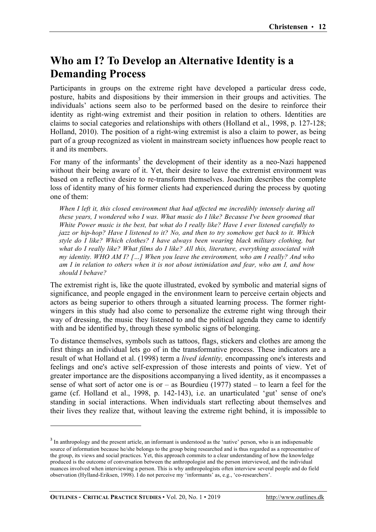## **Who am I? To Develop an Alternative Identity is a Demanding Process**

Participants in groups on the extreme right have developed a particular dress code, posture, habits and dispositions by their immersion in their groups and activities. The individuals' actions seem also to be performed based on the desire to reinforce their identity as right-wing extremist and their position in relation to others. Identities are claims to social categories and relationships with others (Holland et al., 1998, p. 127-128; Holland, 2010). The position of a right-wing extremist is also a claim to power, as being part of a group recognized as violent in mainstream society influences how people react to it and its members.

For many of the informants<sup>3</sup> the development of their identity as a neo-Nazi happened without their being aware of it. Yet, their desire to leave the extremist environment was based on a reflective desire to re-transform themselves. Joachim describes the complete loss of identity many of his former clients had experienced during the process by quoting one of them:

*When I left it, this closed environment that had affected me incredibly intensely during all these years, I wondered who I was. What music do I like? Because I've been groomed that White Power music is the best, but what do I really like? Have I ever listened carefully to jazz or hip-hop? Have I listened to it? No, and then to try somehow get back to it. Which style do I like? Which clothes? I have always been wearing black military clothing, but what do I really like? What films do I like? All this, literature, everything associated with my identity. WHO AM I? […] When you leave the environment, who am I really? And who am I in relation to others when it is not about intimidation and fear, who am I, and how should I behave?*

The extremist right is, like the quote illustrated, evoked by symbolic and material signs of significance, and people engaged in the environment learn to perceive certain objects and actors as being superior to others through a situated learning process. The former rightwingers in this study had also come to personalize the extreme right wing through their way of dressing, the music they listened to and the political agenda they came to identify with and be identified by, through these symbolic signs of belonging.

To distance themselves, symbols such as tattoos, flags, stickers and clothes are among the first things an individual lets go of in the transformative process. These indicators are a result of what Holland et al. (1998) term a *lived identity,* encompassing one's interests and feelings and one's active self-expression of those interests and points of view. Yet of greater importance are the dispositions accompanying a lived identity, as it encompasses a sense of what sort of actor one is or  $-$  as Bourdieu (1977) stated  $-$  to learn a feel for the game (cf. Holland et al., 1998, p. 142-143), i.e. an unarticulated 'gut' sense of one's standing in social interactions. When individuals start reflecting about themselves and their lives they realize that, without leaving the extreme right behind, it is impossible to

<sup>&</sup>lt;sup>3</sup> In anthropology and the present article, an informant is understood as the 'native' person, who is an indispensable source of information because he/she belongs to the group being researched and is thus regarded as a representative of the group, its views and social practices. Yet, this approach commits to a clear understanding of how the knowledge produced is the outcome of conversation between the anthropologist and the person interviewed, and the individual nuances involved when interviewing a person. This is why anthropologists often interview several people and do field observation (Hylland-Eriksen, 1998). I do not perceive my 'informants' as, e.g., 'co-researchers'.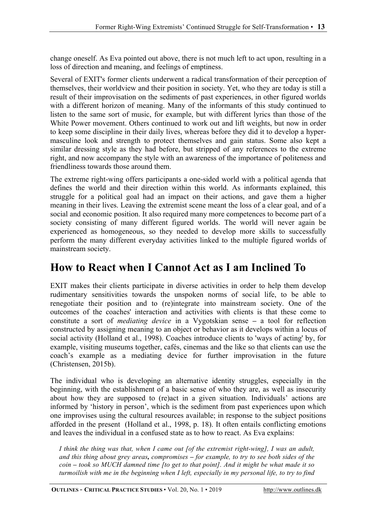change oneself. As Eva pointed out above, there is not much left to act upon, resulting in a loss of direction and meaning, and feelings of emptiness.

Several of EXIT's former clients underwent a radical transformation of their perception of themselves, their worldview and their position in society. Yet, who they are today is still a result of their improvisation on the sediments of past experiences, in other figured worlds with a different horizon of meaning. Many of the informants of this study continued to listen to the same sort of music, for example, but with different lyrics than those of the White Power movement. Others continued to work out and lift weights, but now in order to keep some discipline in their daily lives, whereas before they did it to develop a hypermasculine look and strength to protect themselves and gain status. Some also kept a similar dressing style as they had before, but stripped of any references to the extreme right, and now accompany the style with an awareness of the importance of politeness and friendliness towards those around them.

The extreme right-wing offers participants a one-sided world with a political agenda that defines the world and their direction within this world. As informants explained, this struggle for a political goal had an impact on their actions, and gave them a higher meaning in their lives. Leaving the extremist scene meant the loss of a clear goal, and of a social and economic position. It also required many more competences to become part of a society consisting of many different figured worlds. The world will never again be experienced as homogeneous, so they needed to develop more skills to successfully perform the many different everyday activities linked to the multiple figured worlds of mainstream society.

#### **How to React when I Cannot Act as I am Inclined To**

EXIT makes their clients participate in diverse activities in order to help them develop rudimentary sensitivities towards the unspoken norms of social life, to be able to renegotiate their position and to (re)integrate into mainstream society. One of the outcomes of the coaches' interaction and activities with clients is that these come to constitute a sort of *mediating device* in a Vygotskian sense **–** a tool for reflection constructed by assigning meaning to an object or behavior as it develops within a locus of social activity (Holland et al., 1998). Coaches introduce clients to 'ways of acting' by, for example, visiting museums together, cafés, cinemas and the like so that clients can use the coach's example as a mediating device for further improvisation in the future (Christensen, 2015b).

The individual who is developing an alternative identity struggles, especially in the beginning, with the establishment of a basic sense of who they are, as well as insecurity about how they are supposed to (re)act in a given situation. Individuals' actions are informed by 'history in person', which is the sediment from past experiences upon which one improvises using the cultural resources available; in response to the subject positions afforded in the present (Holland et al., 1998, p. 18). It often entails conflicting emotions and leaves the individual in a confused state as to how to react. As Eva explains:

*I think the thing was that, when I came out [of the extremist right-wing], I was an adult, and this thing about grey areas, compromises – for example, to try to see both sides of the coin – took so MUCH damned time [to get to that point]. And it might be what made it so turmoilish with me in the beginning when I left, especially in my personal life, to try to find* 

**OUTLINES** - **CRITICAL PRACTICE STUDIES** • Vol. 20, No. 1 • 2019 http://www.outlines.dk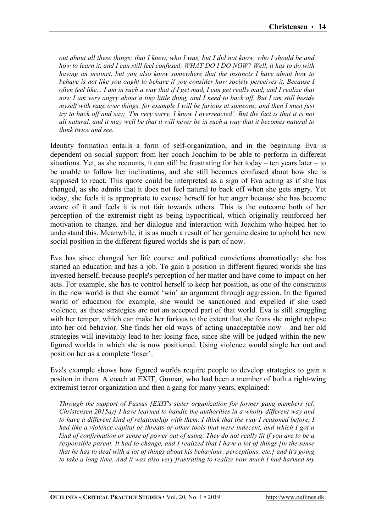*out about all these things; that I knew, who I was, but I did not know, who I should be and how to learn it, and I can still feel confused; WHAT DO I DO NOW? Well, it has to do with having an instinct, but you also know somewhere that the instincts I have about how to behave is not like you ought to behave if you consider how society perceives it. Because I often feel like... I am in such a way that if I get mad, I can get really mad, and I realize that now I am very angry about a tiny little thing, and I need to back off. But I am still beside myself with rage over things, for example I will be furious at someone, and then I must just try to back off and say; 'I'm very sorry, I know I overreacted'. But the fact is that it is not all natural, and it may well be that it will never be in such a way that it becomes natural to think twice and see.*

Identity formation entails a form of self-organization, and in the beginning Eva is dependent on social support from her coach Joachim to be able to perform in different situations. Yet, as she recounts, it can still be frustrating for her today – ten years later – to be unable to follow her inclinations, and she still becomes confused about how she is supposed to react. This quote could be interpreted as a sign of Eva acting as if she has changed, as she admits that it does not feel natural to back off when she gets angry. Yet today, she feels it is appropriate to excuse herself for her anger because she has become aware of it and feels it is not fair towards others. This is the outcome both of her perception of the extremist right as being hypocritical, which originally reinforced her motivation to change, and her dialogue and interaction with Joachim who helped her to understand this. Meanwhile, it is as much a result of her genuine desire to uphold her new social position in the different figured worlds she is part of now.

Eva has since changed her life course and political convictions dramatically; she has started an education and has a job. To gain a position in different figured worlds she has invested herself, because people's perception of her matter and have come to impact on her acts. For example, she has to control herself to keep her position, as one of the constraints in the new world is that she cannot 'win' an argument through aggression. In the figured world of education for example, she would be sanctioned and expelled if she used violence, as these strategies are not an accepted part of that world. Eva is still struggling with her temper, which can make her furious to the extent that she fears she might relapse into her old behavior. She finds her old ways of acting unacceptable now – and her old strategies will inevitably lead to her losing face, since she will be judged within the new figured worlds in which she is now positioned. Using violence would single her out and position her as a complete 'loser'.

Eva's example shows how figured worlds require people to develop strategies to gain a positon in them. A coach at EXIT, Gunnar, who had been a member of both a right-wing extremist terror organization and then a gang for many years, explained:

*Through the support of Passus [EXIT's sister organization for former gang members (cf. Christensen 2015a)] I have learned to handle the authorities in a wholly different way and to have a different kind of relationship with them. I think that the way I reasoned before, I had like a violence capital or threats or other tools that were indecent, and which I got a kind of confirmation or sense of power out of using. They do not really fit if you are to be a responsible parent. It had to change, and I realized that I have a lot of things [in the sense that he has to deal with a lot of things about his behaviour, perceptions, etc.] and it's going to take a long time. And it was also very frustrating to realize how much I had harmed my*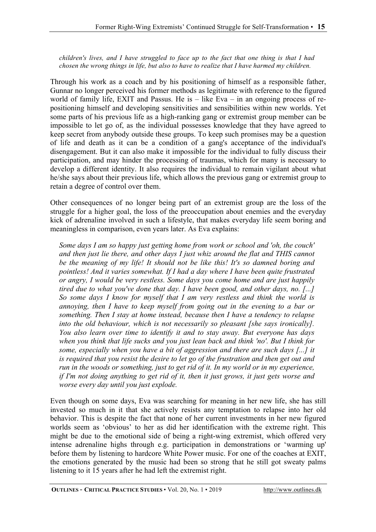*children's lives, and I have struggled to face up to the fact that one thing is that I had chosen the wrong things in life, but also to have to realize that I have harmed my children.* 

Through his work as a coach and by his positioning of himself as a responsible father, Gunnar no longer perceived his former methods as legitimate with reference to the figured world of family life, EXIT and Passus. He is – like Eva – in an ongoing process of repositioning himself and developing sensitivities and sensibilities within new worlds. Yet some parts of his previous life as a high-ranking gang or extremist group member can be impossible to let go of, as the individual possesses knowledge that they have agreed to keep secret from anybody outside these groups. To keep such promises may be a question of life and death as it can be a condition of a gang's acceptance of the individual's disengagement. But it can also make it impossible for the individual to fully discuss their participation, and may hinder the processing of traumas, which for many is necessary to develop a different identity. It also requires the individual to remain vigilant about what he/she says about their previous life, which allows the previous gang or extremist group to retain a degree of control over them.

Other consequences of no longer being part of an extremist group are the loss of the struggle for a higher goal, the loss of the preoccupation about enemies and the everyday kick of adrenaline involved in such a lifestyle, that makes everyday life seem boring and meaningless in comparison, even years later. As Eva explains:

*Some days I am so happy just getting home from work or school and 'oh, the couch' and then just lie there, and other days I just whiz around the flat and THIS cannot be the meaning of my life! It should not be like this! It's so damned boring and pointless! And it varies somewhat. If I had a day where I have been quite frustrated or angry, I would be very restless. Some days you come home and are just happily tired due to what you've done that day. I have been good, and other days, no. [...] So some days I know for myself that I am very restless and think the world is annoying, then I have to keep myself from going out in the evening to a bar or something. Then I stay at home instead, because then I have a tendency to relapse into the old behaviour, which is not necessarily so pleasant [she says ironically]. You also learn over time to identify it and to stay away. But everyone has days when you think that life sucks and you just lean back and think 'no'. But I think for some, especially when you have a bit of aggression and there are such days [...] it is required that you resist the desire to let go of the frustration and then get out and run in the woods or something, just to get rid of it. In my world or in my experience, if I'm not doing anything to get rid of it, then it just grows, it just gets worse and worse every day until you just explode.*

Even though on some days, Eva was searching for meaning in her new life, she has still invested so much in it that she actively resists any temptation to relapse into her old behavior. This is despite the fact that none of her current investments in her new figured worlds seem as 'obvious' to her as did her identification with the extreme right. This might be due to the emotional side of being a right-wing extremist, which offered very intense adrenaline highs through e.g. participation in demonstrations or 'warming up' before them by listening to hardcore White Power music. For one of the coaches at EXIT, the emotions generated by the music had been so strong that he still got sweaty palms listening to it 15 years after he had left the extremist right.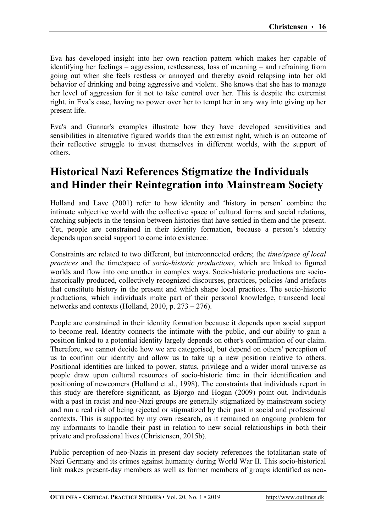Eva has developed insight into her own reaction pattern which makes her capable of identifying her feelings – aggression, restlessness, loss of meaning – and refraining from going out when she feels restless or annoyed and thereby avoid relapsing into her old behavior of drinking and being aggressive and violent. She knows that she has to manage her level of aggression for it not to take control over her. This is despite the extremist right, in Eva's case, having no power over her to tempt her in any way into giving up her present life.

Eva's and Gunnar's examples illustrate how they have developed sensitivities and sensibilities in alternative figured worlds than the extremist right, which is an outcome of their reflective struggle to invest themselves in different worlds, with the support of others.

#### **Historical Nazi References Stigmatize the Individuals and Hinder their Reintegration into Mainstream Society**

Holland and Lave (2001) refer to how identity and 'history in person' combine the intimate subjective world with the collective space of cultural forms and social relations, catching subjects in the tension between histories that have settled in them and the present. Yet, people are constrained in their identity formation, because a person's identity depends upon social support to come into existence.

Constraints are related to two different, but interconnected orders; the *time/space of local practices* and the time/space of *socio-historic productions*, which are linked to figured worlds and flow into one another in complex ways. Socio-historic productions are sociohistorically produced, collectively recognized discourses, practices, policies /and artefacts that constitute history in the present and which shape local practices. The socio-historic productions, which individuals make part of their personal knowledge, transcend local networks and contexts (Holland, 2010, p. 273 – 276).

People are constrained in their identity formation because it depends upon social support to become real. Identity connects the intimate with the public, and our ability to gain a position linked to a potential identity largely depends on other's confirmation of our claim. Therefore, we cannot decide how we are categorised, but depend on others' perception of us to confirm our identity and allow us to take up a new position relative to others. Positional identities are linked to power, status, privilege and a wider moral universe as people draw upon cultural resources of socio-historic time in their identification and positioning of newcomers (Holland et al., 1998). The constraints that individuals report in this study are therefore significant, as Bjørgo and Hogan (2009) point out. Individuals with a past in racist and neo-Nazi groups are generally stigmatized by mainstream society and run a real risk of being rejected or stigmatized by their past in social and professional contexts. This is supported by my own research, as it remained an ongoing problem for my informants to handle their past in relation to new social relationships in both their private and professional lives (Christensen, 2015b).

Public perception of neo-Nazis in present day society references the totalitarian state of Nazi Germany and its crimes against humanity during World War II. This socio-historical link makes present-day members as well as former members of groups identified as neo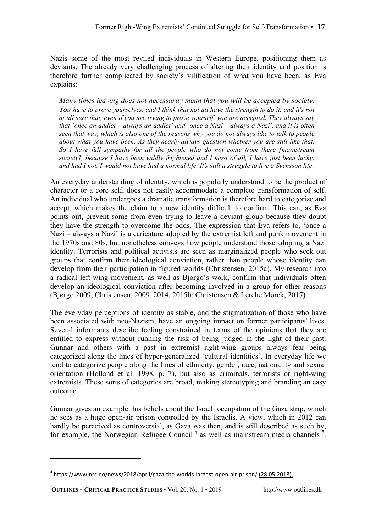Nazis some of the most reviled individuals in Western Europe, positioning them as deviants. The already very challenging process of altering their identity and position is therefore further complicated by society's vilification of what you have been, as Eva explains:

*Many times leaving does not necessarily mean that you will be accepted by society. You have to prove yourselves, and I think that not all have the strength to do it, and it's not at all sure that, even if you are trying to prove yourself, you are accepted. They always say that 'once an addict* – *always an addict' and 'once a Nazi* – *always a Nazi', and it is often seen that way, which is also one of the reasons why you do not always like to talk to people about what you have been. As they nearly always question whether you are still like that. So I have full sympathy for all the people who do not come from there [mainstream society], because I have been wildly frightened and I most of all, I have just been lucky, and had I not, I would not have had a normal life. It's still a struggle to live a Svensson life*.

An everyday understanding of identity, which is popularly understood to be the product of character or a core self, does not easily accommodate a complete transformation of self. An individual who undergoes a dramatic transformation is therefore hard to categorize and accept, which makes the claim to a new identity difficult to confirm. This can, as Eva points out, prevent some from even trying to leave a deviant group because they doubt they have the strength to overcome the odds. The expression that Eva refers to, 'once a Nazi – always a Nazi' is a caricature adopted by the extremist left and punk movement in the 1970s and 80s, but nonetheless conveys how people understand those adopting a Nazi identity. Terrorists and political activists are seen as marginalized people who seek out groups that confirm their ideological conviction, rather than people whose identity can develop from their participation in figured worlds (Christensen, 2015a). My research into a radical left-wing movement, as well as Bjørgo's work, confirm that individuals often develop an ideological conviction after becoming involved in a group for other reasons (Bjørgo 2009; Christensen, 2009, 2014, 2015b; Christensen & Lerche Mørck, 2017).

The everyday perceptions of identity as stable, and the stigmatization of those who have been associated with neo-Nazism, have an ongoing impact on former participants' lives. Several informants describe feeling constrained in terms of the opinions that they are entitled to express without running the risk of being judged in the light of their past. Gunnar and others with a past in extremist right-wing groups always fear being categorized along the lines of hyper-generalized 'cultural identities'. In everyday life we tend to categorize people along the lines of ethnicity, gender, race, nationality and sexual orientation (Holland et al. 1998, p. 7), but also as criminals, terrorists or right-wing extremists. These sorts of categories are broad, making stereotyping and branding an easy outcome.

Gunnar gives an example: his beliefs about the Israeli occupation of the Gaza strip, which he sees as a huge open-air prison controlled by the Israelis. A view, which in 2012 can hardly be perceived as controversial, as Gaza was then, and is still described as such by, for example, the Norwegian Refugee Council<sup>4</sup> as well as mainstream media channels<sup>5</sup>.

<sup>&</sup>lt;sup>4</sup> https://www.nrc.no/news/2018/april/gaza-the-worlds-largest-open-air-prison/ (28.05.2018),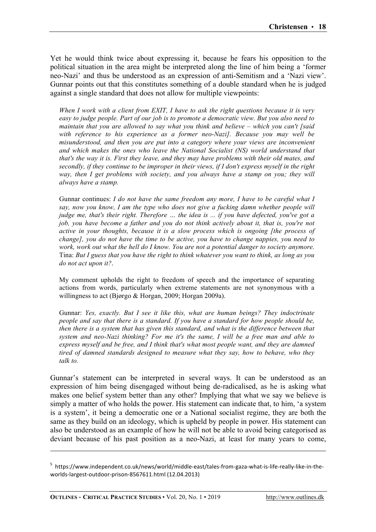Yet he would think twice about expressing it, because he fears his opposition to the political situation in the area might be interpreted along the line of him being a 'former neo-Nazi' and thus be understood as an expression of anti-Semitism and a 'Nazi view'. Gunnar points out that this constitutes something of a double standard when he is judged against a single standard that does not allow for multiple viewpoints:

*When I work with a client from EXIT, I have to ask the right questions because it is very easy to judge people. Part of our job is to promote a democratic view. But you also need to maintain that you are allowed to say what you think and believe – which you can't [said with reference to his experience as a former neo-Nazi]. Because you may well be misunderstood, and then you are put into a category where your views are inconvenient and which makes the ones who leave the National Socialist (NS) world understand that that's the way it is. First they leave, and they may have problems with their old mates, and secondly, if they continue to be improper in their views, if I don't express myself in the right way, then I get problems with society, and you always have a stamp on you; they will always have a stamp.* 

Gunnar continues: *I do not have the same freedom any more, I have to be careful what I say, now you know, I am the type who does not give a fucking damn whether people will judge me, that's their right. Therefore … the idea is ... if you have defected, you've got a job, you have become a father and you do not think actively about it, that is, you're not active in your thoughts, because it is a slow process which is ongoing [the process of change], you do not have the time to be active, you have to change nappies, you need to work, work out what the hell do I know. You are not a potential danger to society anymore.* Tina: *But I guess that you have the right to think whatever you want to think, as long as you do not act upon it?*.

My comment upholds the right to freedom of speech and the importance of separating actions from words, particularly when extreme statements are not synonymous with a willingness to act (Bjørgo & Horgan, 2009; Horgan 2009a).

Gunnar: *Yes, exactly. But I see it like this, what are human beings? They indoctrinate people and say that there is a standard. If you have a standard for how people should be, then there is a system that has given this standard, and what is the difference between that system and neo-Nazi thinking? For me it's the same, I will be a free man and able to express myself and be free, and I think that's what most people want, and they are damned tired of damned standards designed to measure what they say, how to behave, who they talk to.*

Gunnar's statement can be interpreted in several ways. It can be understood as an expression of him being disengaged without being de-radicalised, as he is asking what makes one belief system better than any other? Implying that what we say we believe is simply a matter of who holds the power. His statement can indicate that, to him, 'a system is a system', it being a democratic one or a National socialist regime, they are both the same as they build on an ideology, which is upheld by people in power. His statement can also be understood as an example of how he will not be able to avoid being categorised as deviant because of his past position as a neo-Nazi, at least for many years to come,

<u> 2002 - Andrea San Andrea San Andrea San Andrea San Andrea San Andrea San Andrea San Andrea San Andrea San An</u>

<sup>&</sup>lt;sup>5</sup> https://www.independent.co.uk/news/world/middle-east/tales-from-gaza-what-is-life-really-like-in-theworlds-largest-outdoor-prison-8567611.html (12.04.2013)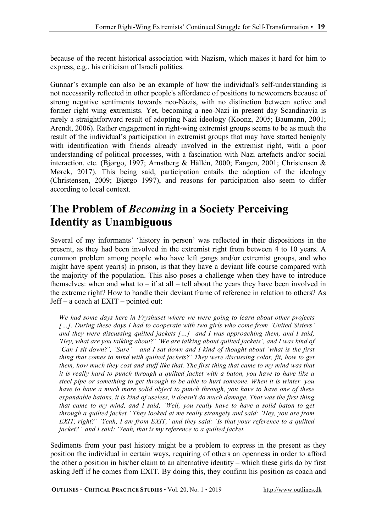because of the recent historical association with Nazism, which makes it hard for him to express, e.g., his criticism of Israeli politics.

Gunnar's example can also be an example of how the individual's self-understanding is not necessarily reflected in other people's affordance of positions to newcomers because of strong negative sentiments towards neo-Nazis, with no distinction between active and former right wing extremists. Yet, becoming a neo-Nazi in present day Scandinavia is rarely a straightforward result of adopting Nazi ideology (Koonz, 2005; Baumann, 2001; Arendt, 2006). Rather engagement in right-wing extremist groups seems to be as much the result of the individual's participation in extremist groups that may have started benignly with identification with friends already involved in the extremist right, with a poor understanding of political processes, with a fascination with Nazi artefacts and/or social interaction, etc. (Bjørgo, 1997; Arnstberg & Hållén, 2000; Fangen, 2001; Christensen & Mørck, 2017). This being said, participation entails the adoption of the ideology (Christensen, 2009; Bjørgo 1997), and reasons for participation also seem to differ according to local context.

### **The Problem of** *Becoming* **in a Society Perceiving Identity as Unambiguous**

Several of my informants' 'history in person' was reflected in their dispositions in the present, as they had been involved in the extremist right from between 4 to 10 years. A common problem among people who have left gangs and/or extremist groups, and who might have spent year(s) in prison, is that they have a deviant life course compared with the majority of the population. This also poses a challenge when they have to introduce themselves: when and what to  $-$  if at all  $-$  tell about the years they have been involved in the extreme right? How to handle their deviant frame of reference in relation to others? As Jeff – a coach at EXIT – pointed out:

*We had some days here in Fryshuset where we were going to learn about other projects […]*. *During these days I had to cooperate with two girls who come from 'United Sisters' and they were discussing quilted jackets […] and I was approaching them, and I said, 'Hey, what are you talking about?' 'We are talking about quilted jackets', and I was kind of 'Can I sit down?', 'Sure'* – *and I sat down and I kind of thought about 'what is the first thing that comes to mind with quilted jackets?' They were discussing color, fit, how to get them, how much they cost and stuff like that. The first thing that came to my mind was that it is really hard to punch through a quilted jacket with a baton, you have to have like a steel pipe or something to get through to be able to hurt someone. When it is winter, you have to have a much more solid object to punch through, you have to have one of these expandable batons, it is kind of useless, it doesn't do much damage. That was the first thing that came to my mind, and I said, 'Well, you really have to have a solid baton to get through a quilted jacket.' They looked at me really strangely and said: 'Hey, you are from EXIT, right?' 'Yeah, I am from EXIT,' and they said: 'Is that your reference to a quilted jacket?', and I said: 'Yeah, that is my reference to a quilted jacket.'*

Sediments from your past history might be a problem to express in the present as they position the individual in certain ways, requiring of others an openness in order to afford the other a position in his/her claim to an alternative identity – which these girls do by first asking Jeff if he comes from EXIT. By doing this, they confirm his position as coach and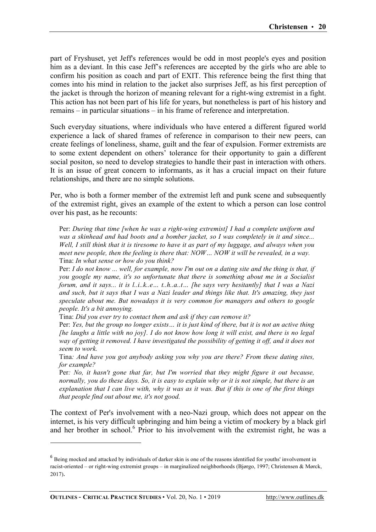part of Fryshuset, yet Jeff's references would be odd in most people's eyes and position him as a deviant. In this case Jeff's references are accepted by the girls who are able to confirm his position as coach and part of EXIT. This reference being the first thing that comes into his mind in relation to the jacket also surprises Jeff, as his first perception of the jacket is through the horizon of meaning relevant for a right-wing extremist in a fight. This action has not been part of his life for years, but nonetheless is part of his history and remains – in particular situations – in his frame of reference and interpretation.

Such everyday situations, where individuals who have entered a different figured world experience a lack of shared frames of reference in comparison to their new peers, can create feelings of loneliness, shame, guilt and the fear of expulsion. Former extremists are to some extent dependent on others' tolerance for their opportunity to gain a different social positon, so need to develop strategies to handle their past in interaction with others. It is an issue of great concern to informants, as it has a crucial impact on their future relationships, and there are no simple solutions.

Per, who is both a former member of the extremist left and punk scene and subsequently of the extremist right, gives an example of the extent to which a person can lose control over his past, as he recounts:

Per: *During that time [when he was a right-wing extremist] I had a complete uniform and was a skinhead and had boots and a bomber jacket, so I was completely in it and since... Well, I still think that it is tiresome to have it as part of my luggage, and always when you meet new people, then the feeling is there that: NOW… NOW it will be revealed, in a way.* Tina: *In what sense or how do you think?*

Per: *I do not know ... well, for example, now I'm out on a dating site and the thing is that, if you google my name, it's so unfortunate that there is something about me in a Socialist forum, and it says... it is l..i..k..e… t..h..a..t… [he says very hesitantly] that I was a Nazi and such, but it says that I was a Nazi leader and things like that. It's amazing, they just speculate about me. But nowadays it is very common for managers and others to google people. It's a bit annoying.*

Tina: *Did you ever try to contact them and ask if they can remove it?*

Per: *Yes, but the group no longer exists… it is just kind of there, but it is not an active thing [he laughs a little with no joy]. I do not know how long it will exist, and there is no legal way of getting it removed. I have investigated the possibility of getting it off, and it does not seem to work.*

Tina*: And have you got anybody asking you why you are there? From these dating sites, for example?*

Per*: No, it hasn't gone that far, but I'm worried that they might figure it out because, normally, you do these days. So, it is easy to explain why or it is not simple, but there is an explanation that I can live with, why it was as it was. But if this is one of the first things that people find out about me, it's not good.*

The context of Per's involvement with a neo-Nazi group, which does not appear on the internet, is his very difficult upbringing and him being a victim of mockery by a black girl and her brother in school.<sup>6</sup> Prior to his involvement with the extremist right, he was a

<sup>&</sup>lt;sup>6</sup> Being mocked and attacked by individuals of darker skin is one of the reasons identified for youths' involvement in racist-oriented – or right-wing extremist groups – in marginalized neighborhoods (Bjørgo, 1997; Christensen & Mørck, 2017).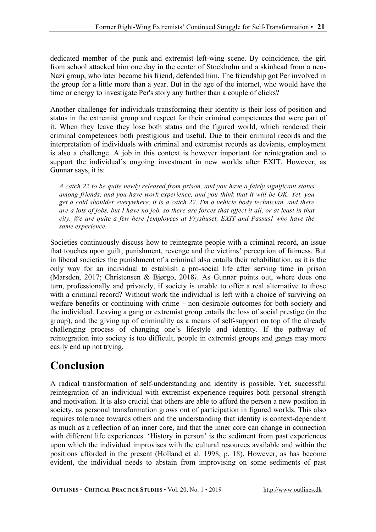dedicated member of the punk and extremist left-wing scene. By coincidence, the girl from school attacked him one day in the center of Stockholm and a skinhead from a neo-Nazi group, who later became his friend, defended him. The friendship got Per involved in the group for a little more than a year. But in the age of the internet, who would have the time or energy to investigate Per's story any further than a couple of clicks?

Another challenge for individuals transforming their identity is their loss of position and status in the extremist group and respect for their criminal competences that were part of it. When they leave they lose both status and the figured world, which rendered their criminal competences both prestigious and useful. Due to their criminal records and the interpretation of individuals with criminal and extremist records as deviants, employment is also a challenge. A job in this context is however important for reintegration and to support the individual's ongoing investment in new worlds after EXIT. However, as Gunnar says, it is:

*A catch 22 to be quite newly released from prison, and you have a fairly significant status among friends, and you have work experience, and you think that it will be OK. Yet, you get a cold shoulder everywhere, it is a catch 22. I'm a vehicle body technician, and there are a lots of jobs, but I have no job, so there are forces that affect it all, or at least in that city. We are quite a few here [employees at Fryshuset, EXIT and Passus] who have the same experience.*

Societies continuously discuss how to reintegrate people with a criminal record, an issue that touches upon guilt, punishment, revenge and the victims' perception of fairness. But in liberal societies the punishment of a criminal also entails their rehabilitation, as it is the only way for an individual to establish a pro-social life after serving time in prison (Marsden, 2017; Christensen & Bjørgo, 2018*)*. As Gunnar points out, where does one turn, professionally and privately, if society is unable to offer a real alternative to those with a criminal record? Without work the individual is left with a choice of surviving on welfare benefits or continuing with crime – non-desirable outcomes for both society and the individual. Leaving a gang or extremist group entails the loss of social prestige (in the group), and the giving up of criminality as a means of self-support on top of the already challenging process of changing one's lifestyle and identity. If the pathway of reintegration into society is too difficult, people in extremist groups and gangs may more easily end up not trying.

# **Conclusion**

A radical transformation of self-understanding and identity is possible. Yet, successful reintegration of an individual with extremist experience requires both personal strength and motivation. It is also crucial that others are able to afford the person a new position in society, as personal transformation grows out of participation in figured worlds. This also requires tolerance towards others and the understanding that identity is context-dependent as much as a reflection of an inner core, and that the inner core can change in connection with different life experiences. 'History in person' is the sediment from past experiences upon which the individual improvises with the cultural resources available and within the positions afforded in the present (Holland et al. 1998, p. 18). However, as has become evident, the individual needs to abstain from improvising on some sediments of past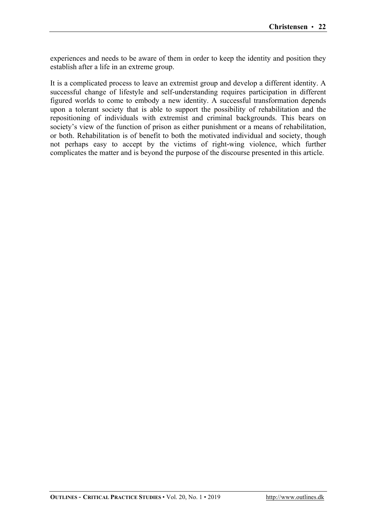experiences and needs to be aware of them in order to keep the identity and position they establish after a life in an extreme group.

It is a complicated process to leave an extremist group and develop a different identity. A successful change of lifestyle and self-understanding requires participation in different figured worlds to come to embody a new identity. A successful transformation depends upon a tolerant society that is able to support the possibility of rehabilitation and the repositioning of individuals with extremist and criminal backgrounds. This bears on society's view of the function of prison as either punishment or a means of rehabilitation, or both. Rehabilitation is of benefit to both the motivated individual and society, though not perhaps easy to accept by the victims of right-wing violence, which further complicates the matter and is beyond the purpose of the discourse presented in this article.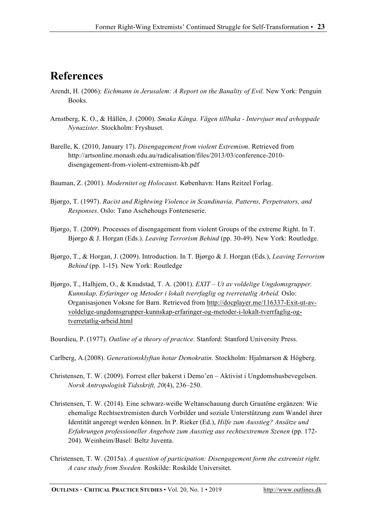#### **References**

- Arendt, H. (2006): *Eichmann in Jerusalem: A Report on the Banality of Evil.* New York: Penguin Books.
- Arnstberg, K. O., & Hållén, J. (2000). *Smaka Känga. Vägen tillbaka - Intervjuer med avhoppade Nynazister.* Stockholm: Fryshuset.
- Barelle, K. (2010, January 17). *Disengagement from violent Extremism*. Retrieved from http://artsonline.monash.edu.au/radicalisation/files/2013/03/conference-2010 disengagement-from-violent-extremism-kb.pdf
- Bauman, Z. (2001). *Modernitet og Holocaust*. København: Hans Reitzel Forlag.
- Bjørgo, T. (1997). *Racist and Rightwing Violence in Scandinavia, Patterns, Perpetrators, and Responses*. Oslo: Tano Aschehougs Fonteneserie.
- Bjørgo, T. (2009). Processes of disengagement from violent Groups of the extreme Right. In T. Bjørgo & J. Horgan (Eds.). *Leaving Terrorism Behind* (pp. 30-49)*.* New York: Routledge.
- Bjørgo, T., & Horgan, J. (2009). Introduction. In T. Bjørgo & J. Horgan (Eds.), *Leaving Terrorism Behind* (pp. 1-15)*.* New York: Routledge
- Bjørgo, T., Halhjem, O., & Knudstad, T. A. (2001). *EXIT – Ut av voldelige Ungdomsgrupper. Kunnskap, Erfaringer og Metoder i lokalt tverrfaglig og tverretatlig Arbeid.* Oslo: Organisasjonen Voksne for Barn. Retrieved from http://docplayer.me/116337-Exit-ut-avvoldelige-ungdomsgrupper-kunnskap-erfaringer-og-metoder-i-lokalt-tverrfaglig-ogtverretatlig-arbeid.html
- Bourdieu, P. (1977). *Outline of a theory of practice.* Stanford: Stanford University Press.
- Carlberg, A.(2008). *Generationsklyftan hotar Demokratin.* Stockholm: Hjalmarson & Högberg.
- Christensen, T. W. (2009). Forrest eller bakerst i Demo'en Aktivist i Ungdomshusbevegelsen. *Norsk Antropologisk Tidsskrift, 20*(4), 236–250.
- Christensen, T. W. (2014). Eine schwarz-weiße Weltanschauung durch Grautöne ergänzen: Wie ehemalige Rechtsextremisten durch Vorbilder und soziale Unterstützung zum Wandel ihrer Identität angeregt werden können. In P. Rieker (Ed.), *Hilfe zum Ausstieg? Ansätze und Erfahrungen professioneller Angebote zum Ausstieg aus rechtsextremen Szenen* (pp. 172- 204). Weinheim/Basel: Beltz Juventa.
- Christensen, T. W. (2015a). *A question of participation: Disengagement form the extremist right. A case study from Sweden.* Roskilde: Roskilde Universitet.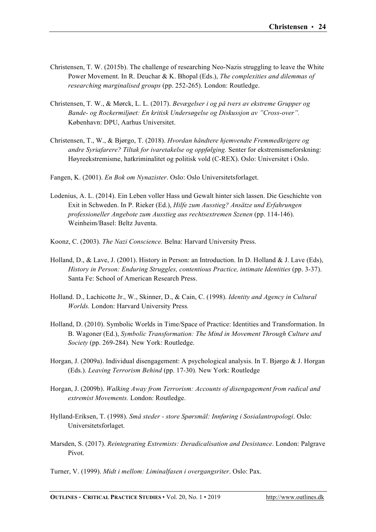- Christensen, T. W. (2015b). The challenge of researching Neo-Nazis struggling to leave the White Power Movement. In R. Deuchar & K. Bhopal (Eds.), *The complexities and dilemmas of researching marginalised groups* (pp. 252-265). London: Routledge.
- Christensen, T. W., & Mørck, L. L. (2017). *Bevægelser i og på tvers av ekstreme Grupper og Bande- og Rockermiljøet: En kritisk Undersøgelse og Diskussjon av "Cross-over".*  København: DPU, Aarhus Universitet.
- Christensen, T., W., & Bjørgo, T. (2018). *Hvordan håndtere hjemvendte Fremmedkrigere og andre Syriafarere? Tiltak for ivaretakelse og oppfølging.* Senter for ekstremismeforskning: Høyreekstremisme, hatkriminalitet og politisk vold (C-REX). Oslo: Universitet i Oslo.
- Fangen, K. (2001). *En Bok om Nynazister*. Oslo: Oslo Universitetsforlaget.
- Lodenius, A. L. (2014). Ein Leben voller Hass und Gewalt hinter sich lassen. Die Geschichte von Exit in Schweden. In P. Rieker (Ed.), *Hilfe zum Ausstieg? Ansätze und Erfahrungen professioneller Angebote zum Ausstieg aus rechtsextremen Szenen* (pp. 114-146). Weinheim/Basel: Beltz Juventa.
- Koonz, C. (2003). *The Nazi Conscience.* Belna: Harvard University Press.
- Holland, D., & Lave, J. (2001). History in Person: an Introduction. In D. Holland & J. Lave (Eds), *History in Person: Enduring Struggles, contentious Practice, intimate Identities* (pp. 3-37). Santa Fe: School of American Research Press.
- Holland. D., Lachicotte Jr., W., Skinner, D., & Cain, C. (1998). *Identity and Agency in Cultural Worlds.* London: Harvard University Press*.*
- Holland, D. (2010). Symbolic Worlds in Time/Space of Practice: Identities and Transformation. In B. Wagoner (Ed.), *Symbolic Transformation: The Mind in Movement Through Culture and Society* (pp. 269-284)*.* New York: Routledge.
- Horgan, J. (2009a). Individual disengagement: A psychological analysis. In T. Bjørgo & J. Horgan (Eds.). *Leaving Terrorism Behind* (pp. 17-30)*.* New York: Routledge
- Horgan, J. (2009b). *Walking Away from Terrorism: Accounts of disengagement from radical and extremist Movements.* London: Routledge.
- Hylland-Eriksen, T. (1998). *Små steder - store Spørsmål: Innføring i Sosialantropologi*. Oslo: Universitetsforlaget.
- Marsden, S. (2017). *Reintegrating Extremists: Deradicalisation and Desistance*. London: Palgrave Pivot.

Turner, V. (1999). *Midt i mellom: Liminalfasen i overgangsriter*. Oslo: Pax.